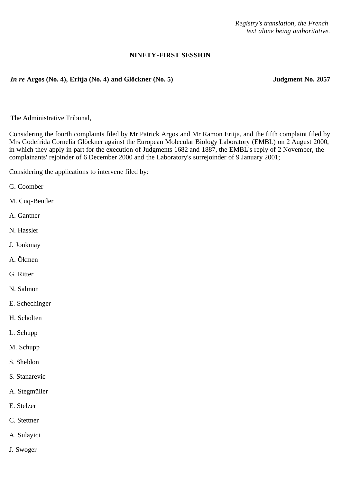*Registry's translation, the French text alone being authoritative.*

## **NINETY-FIRST SESSION**

## *In re* **Argos (No. 4), Eritja (No. 4) and Glöckner (No. 5) Judgment No. 2057**

The Administrative Tribunal,

Considering the fourth complaints filed by Mr Patrick Argos and Mr Ramon Eritja, and the fifth complaint filed by Mrs Godefrida Cornelia Glöckner against the European Molecular Biology Laboratory (EMBL) on 2 August 2000, in which they apply in part for the execution of Judgments 1682 and 1887, the EMBL's reply of 2 November, the complainants' rejoinder of 6 December 2000 and the Laboratory's surrejoinder of 9 January 2001;

Considering the applications to intervene filed by:

- G. Coomber
- M. Cuq-Beutler
- A. Gantner
- N. Hassler
- J. Jonkmay
- A. Ökmen
- G. Ritter
- N. Salmon
- E. Schechinger
- H. Scholten
- L. Schupp
- M. Schupp
- S. Sheldon
- S. Stanarevic
- A. Stegmüller
- E. Stelzer
- C. Stettner
- A. Sulayici
- J. Swoger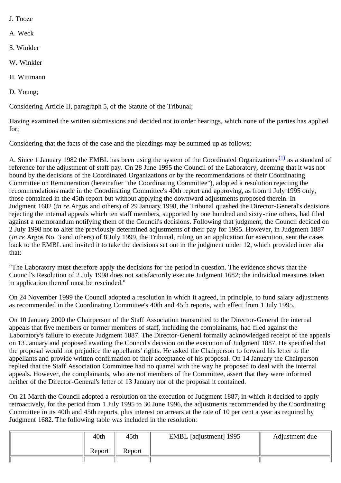- J. Tooze
- A. Weck
- S. Winkler
- W. Winkler
- H. Wittmann
- D. Young;

Considering Article II, paragraph 5, of the Statute of the Tribunal;

Having examined the written submissions and decided not to order hearings, which none of the parties has applied for;

Considering that the facts of the case and the pleadings may be summed up as follows:

A. Since 1 January 1982 the EMBL has been using the system of the Coordinated Organizations [\(1\)](#page-7-0) as a standard of reference for the adjustment of staff pay. On 28 June 1995 the Council of the Laboratory, deeming that it was not bound by the decisions of the Coordinated Organizations or by the recommendations of their Coordinating Committee on Remuneration (hereinafter "the Coordinating Committee"), adopted a resolution rejecting the recommendations made in the Coordinating Committee's 40th report and approving, as from 1 July 1995 only, those contained in the 45th report but without applying the downward adjustments proposed therein. In Judgment 1682 (*in re* Argos and others) of 29 January 1998, the Tribunal quashed the Director-General's decisions rejecting the internal appeals which ten staff members, supported by one hundred and sixty-nine others, had filed against a memorandum notifying them of the Council's decisions. Following that judgment, the Council decided on 2 July 1998 not to alter the previously determined adjustments of their pay for 1995. However, in Judgment 1887 (*in re* Argos No. 3 and others) of 8 July 1999, the Tribunal, ruling on an application for execution, sent the cases back to the EMBL and invited it to take the decisions set out in the judgment under 12, which provided inter alia that:

"The Laboratory must therefore apply the decisions for the period in question. The evidence shows that the Council's Resolution of 2 July 1998 does not satisfactorily execute Judgment 1682; the individual measures taken in application thereof must be rescinded."

On 24 November 1999 the Council adopted a resolution in which it agreed, in principle, to fund salary adjustments as recommended in the Coordinating Committee's 40th and 45th reports, with effect from 1 July 1995.

On 10 January 2000 the Chairperson of the Staff Association transmitted to the Director-General the internal appeals that five members or former members of staff, including the complainants, had filed against the Laboratory's failure to execute Judgment 1887. The Director-General formally acknowledged receipt of the appeals on 13 January and proposed awaiting the Council's decision on the execution of Judgment 1887. He specified that the proposal would not prejudice the appellants' rights. He asked the Chairperson to forward his letter to the appellants and provide written confirmation of their acceptance of his proposal. On 14 January the Chairperson replied that the Staff Association Committee had no quarrel with the way he proposed to deal with the internal appeals. However, the complainants, who are not members of the Committee, assert that they were informed neither of the Director-General's letter of 13 January nor of the proposal it contained.

On 21 March the Council adopted a resolution on the execution of Judgment 1887, in which it decided to apply retroactively, for the period from 1 July 1995 to 30 June 1996, the adjustments recommended by the Coordinating Committee in its 40th and 45th reports, plus interest on arrears at the rate of 10 per cent a year as required by Judgment 1682. The following table was included in the resolution:

| 40th   | 45th   | EMBL [adjustment] 1995 | Adjustment due |
|--------|--------|------------------------|----------------|
| Report | Report |                        |                |
|        |        |                        |                |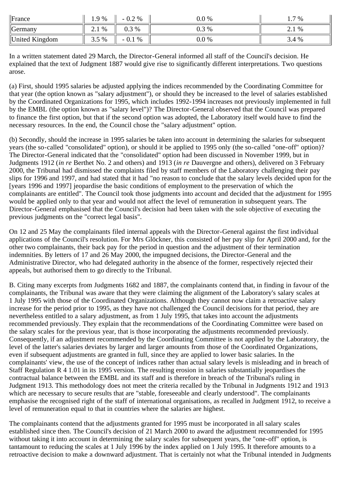| $\ $ France      | 1.9%               | 2 %<br>$-0.4$ .     | $0.0\%$ | 7 %             |
|------------------|--------------------|---------------------|---------|-----------------|
| $\theta$ Germany | %<br>$\sim$ $\sim$ | $0.3\%$             | 0.3 %   | %<br>$\sim$ . 1 |
| United Kingdom   | $.5\%$<br>.        | ∩<br>$\%$<br>$-0.1$ | $0.0\%$ | 3.4 %           |

In a written statement dated 29 March, the Director-General informed all staff of the Council's decision. He explained that the text of Judgment 1887 would give rise to significantly different interpretations. Two questions arose.

(a) First, should 1995 salaries be adjusted applying the indices recommended by the Coordinating Committee for that year (the option known as "salary adjustment"), or should they be increased to the level of salaries established by the Coordinated Organizations for 1995, which includes 1992-1994 increases not previously implemented in full by the EMBL (the option known as "salary level")? The Director-General observed that the Council was prepared to finance the first option, but that if the second option was adopted, the Laboratory itself would have to find the necessary resources. In the end, the Council chose the "salary adjustment" option.

(b) Secondly, should the increase in 1995 salaries be taken into account in determining the salaries for subsequent years (the so-called "consolidated" option), or should it be applied to 1995 only (the so-called "one-off" option)? The Director-General indicated that the "consolidated" option had been discussed in November 1999, but in Judgments 1912 (*in re* Berthet No. 2 and others) and 1913 (*in re* Dauvergne and others), delivered on 3 February 2000, the Tribunal had dismissed the complaints filed by staff members of the Laboratory challenging their pay slips for 1996 and 1997, and had stated that it had "no reason to conclude that the salary levels decided upon for the [years 1996 and 1997] jeopardise the basic conditions of employment to the preservation of which the complainants are entitled". The Council took those judgments into account and decided that the adjustment for 1995 would be applied only to that year and would not affect the level of remuneration in subsequent years. The Director-General emphasised that the Council's decision had been taken with the sole objective of executing the previous judgments on the "correct legal basis".

On 12 and 25 May the complainants filed internal appeals with the Director-General against the first individual applications of the Council's resolution. For Mrs Glöckner, this consisted of her pay slip for April 2000 and, for the other two complainants, their back pay for the period in question and the adjustment of their termination indemnities. By letters of 17 and 26 May 2000, the impugned decisions, the Director-General and the Administrative Director, who had delegated authority in the absence of the former, respectively rejected their appeals, but authorised them to go directly to the Tribunal.

B. Citing many excerpts from Judgments 1682 and 1887, the complainants contend that, in finding in favour of the complainants, the Tribunal was aware that they were claiming the alignment of the Laboratory's salary scales at 1 July 1995 with those of the Coordinated Organizations. Although they cannot now claim a retroactive salary increase for the period prior to 1995, as they have not challenged the Council decisions for that period, they are nevertheless entitled to a salary adjustment, as from 1 July 1995, that takes into account the adjustments recommended previously. They explain that the recommendations of the Coordinating Committee were based on the salary scales for the previous year, that is those incorporating the adjustments recommended previously. Consequently, if an adjustment recommended by the Coordinating Committee is not applied by the Laboratory, the level of the latter's salaries deviates by larger and larger amounts from those of the Coordinated Organizations, even if subsequent adjustments are granted in full, since they are applied to lower basic salaries. In the complainants' view, the use of the concept of indices rather than actual salary levels is misleading and in breach of Staff Regulation R 4 1.01 in its 1995 version. The resulting erosion in salaries substantially jeopardises the contractual balance between the EMBL and its staff and is therefore in breach of the Tribunal's ruling in Judgment 1913. This methodology does not meet the criteria recalled by the Tribunal in Judgments 1912 and 1913 which are necessary to secure results that are "stable, foreseeable and clearly understood". The complainants emphasise the recognised right of the staff of international organisations, as recalled in Judgment 1912, to receive a level of remuneration equal to that in countries where the salaries are highest.

The complainants contend that the adjustments granted for 1995 must be incorporated in all salary scales established since then. The Council's decision of 21 March 2000 to award the adjustment recommended for 1995 without taking it into account in determining the salary scales for subsequent years, the "one-off" option, is tantamount to reducing the scales at 1 July 1996 by the index applied on 1 July 1995. It therefore amounts to a retroactive decision to make a downward adjustment. That is certainly not what the Tribunal intended in Judgments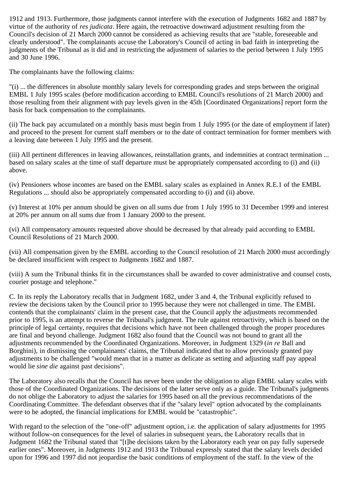1912 and 1913. Furthermore, those judgments cannot interfere with the execution of Judgments 1682 and 1887 by virtue of the authority of *res judicata*. Here again, the retroactive downward adjustment resulting from the Council's decision of 21 March 2000 cannot be considered as achieving results that are "stable, foreseeable and clearly understood". The complainants accuse the Laboratory's Council of acting in bad faith in interpreting the judgments of the Tribunal as it did and in restricting the adjustment of salaries to the period between 1 July 1995 and 30 June 1996.

The complainants have the following claims:

"(i) ... the differences in absolute monthly salary levels for corresponding grades and steps between the original EMBL 1 July 1995 scales (before modification according to EMBL Council's resolutions of 21 March 2000) and those resulting from their alignment with pay levels given in the 45th [Coordinated Organizations] report form the basis for back compensation to the complainants.

(ii) The back pay accumulated on a monthly basis must begin from 1 July 1995 (or the date of employment if later) and proceed to the present for current staff members or to the date of contract termination for former members with a leaving date between 1 July 1995 and the present.

(iii) All pertinent differences in leaving allowances, reinstallation grants, and indemnities at contract termination ... based on salary scales at the time of staff departure must be appropriately compensated according to (i) and (ii) above.

(iv) Pensioners whose incomes are based on the EMBL salary scales as explained in Annex R.E.1 of the EMBL Regulations ... should also be appropriately compensated according to (i) and (ii) above.

(v) Interest at 10% per annum should be given on all sums due from 1 July 1995 to 31 December 1999 and interest at 20% per annum on all sums due from 1 January 2000 to the present.

(vi) All compensatory amounts requested above should be decreased by that already paid according to EMBL Council Resolutions of 21 March 2000.

(vii) All compensation given by the EMBL according to the Council resolution of 21 March 2000 must accordingly be declared insufficient with respect to Judgments 1682 and 1887.

(viii) A sum the Tribunal thinks fit in the circumstances shall be awarded to cover administrative and counsel costs, courier postage and telephone."

C. In its reply the Laboratory recalls that in Judgment 1682, under 3 and 4, the Tribunal explicitly refused to review the decisions taken by the Council prior to 1995 because they were not challenged in time. The EMBL contends that the complainants' claim in the present case, that the Council apply the adjustments recommended prior to 1995, is an attempt to reverse the Tribunal's judgment. The rule against retroactivity, which is based on the principle of legal certainty, requires that decisions which have not been challenged through the proper procedures are final and beyond challenge. Judgment 1682 also found that the Council was not bound to grant all the adjustments recommended by the Coordinated Organizations. Moreover, in Judgment 1329 (*in re* Ball and Borghini), in dismissing the complainants' claims, the Tribunal indicated that to allow previously granted pay adjustments to be challenged "would mean that in a matter as delicate as setting and adjusting staff pay appeal would lie *sine die* against past decisions".

The Laboratory also recalls that the Council has never been under the obligation to align EMBL salary scales with those of the Coordinated Organizations. The decisions of the latter serve only as a guide. The Tribunal's judgments do not oblige the Laboratory to adjust the salaries for 1995 based on all the previous recommendations of the Coordinating Committee. The defendant observes that if the "salary level" option advocated by the complainants were to be adopted, the financial implications for EMBL would be "catastrophic".

With regard to the selection of the "one-off" adjustment option, i.e. the application of salary adjustments for 1995 without follow-on consequences for the level of salaries in subsequent years, the Laboratory recalls that in Judgment 1682 the Tribunal stated that "[t]he decisions taken by the Laboratory each year on pay fully supersede earlier ones". Moreover, in Judgments 1912 and 1913 the Tribunal expressly stated that the salary levels decided upon for 1996 and 1997 did not jeopardise the basic conditions of employment of the staff. In the view of the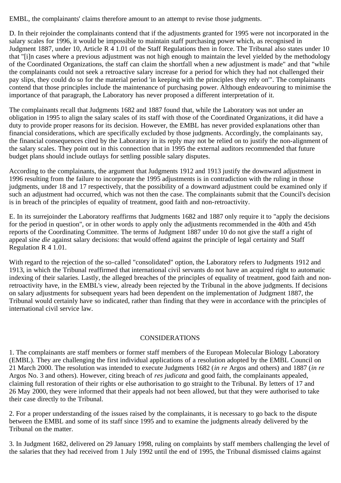EMBL, the complainants' claims therefore amount to an attempt to revise those judgments.

D. In their rejoinder the complainants contend that if the adjustments granted for 1995 were not incorporated in the salary scales for 1996, it would be impossible to maintain staff purchasing power which, as recognised in Judgment 1887, under 10, Article R 4 1.01 of the Staff Regulations then in force. The Tribunal also states under 10 that "[i]n cases where a previous adjustment was not high enough to maintain the level yielded by the methodology of the Coordinated Organizations, the staff can claim the shortfall when a new adjustment is made" and that "while the complainants could not seek a retroactive salary increase for a period for which they had not challenged their pay slips, they could do so for the material period 'in keeping with the principles they rely on'". The complainants contend that those principles include the maintenance of purchasing power. Although endeavouring to minimise the importance of that paragraph, the Laboratory has never proposed a different interpretation of it.

The complainants recall that Judgments 1682 and 1887 found that, while the Laboratory was not under an obligation in 1995 to align the salary scales of its staff with those of the Coordinated Organizations, it did have a duty to provide proper reasons for its decision. However, the EMBL has never provided explanations other than financial considerations, which are specifically excluded by those judgments. Accordingly, the complainants say, the financial consequences cited by the Laboratory in its reply may not be relied on to justify the non-alignment of the salary scales. They point out in this connection that in 1995 the external auditors recommended that future budget plans should include outlays for settling possible salary disputes.

According to the complainants, the argument that Judgments 1912 and 1913 justify the downward adjustment in 1996 resulting from the failure to incorporate the 1995 adjustments is in contradiction with the ruling in those judgments, under 18 and 17 respectively, that the possibility of a downward adjustment could be examined only if such an adjustment had occurred, which was not then the case. The complainants submit that the Council's decision is in breach of the principles of equality of treatment, good faith and non-retroactivity.

E. In its surrejoinder the Laboratory reaffirms that Judgments 1682 and 1887 only require it to "apply the decisions for the period in question", or in other words to apply only the adjustments recommended in the 40th and 45th reports of the Coordinating Committee. The terms of Judgment 1887 under 10 do not give the staff a right of appeal *sine die* against salary decisions: that would offend against the principle of legal certainty and Staff Regulation R 4 1.01.

With regard to the rejection of the so-called "consolidated" option, the Laboratory refers to Judgments 1912 and 1913, in which the Tribunal reaffirmed that international civil servants do not have an acquired right to automatic indexing of their salaries. Lastly, the alleged breaches of the principles of equality of treatment, good faith and nonretroactivity have, in the EMBL's view, already been rejected by the Tribunal in the above judgments. If decisions on salary adjustments for subsequent years had been dependent on the implementation of Judgment 1887, the Tribunal would certainly have so indicated, rather than finding that they were in accordance with the principles of international civil service law.

## CONSIDERATIONS

1. The complainants are staff members or former staff members of the European Molecular Biology Laboratory (EMBL). They are challenging the first individual applications of a resolution adopted by the EMBL Council on 21 March 2000. The resolution was intended to execute Judgments 1682 (*in re* Argos and others) and 1887 (*in re* Argos No. 3 and others). However, citing breach of *res judicata* and good faith, the complainants appealed, claiming full restoration of their rights or else authorisation to go straight to the Tribunal. By letters of 17 and 26 May 2000, they were informed that their appeals had not been allowed, but that they were authorised to take their case directly to the Tribunal.

2. For a proper understanding of the issues raised by the complainants, it is necessary to go back to the dispute between the EMBL and some of its staff since 1995 and to examine the judgments already delivered by the Tribunal on the matter.

3. In Judgment 1682, delivered on 29 January 1998, ruling on complaints by staff members challenging the level of the salaries that they had received from 1 July 1992 until the end of 1995, the Tribunal dismissed claims against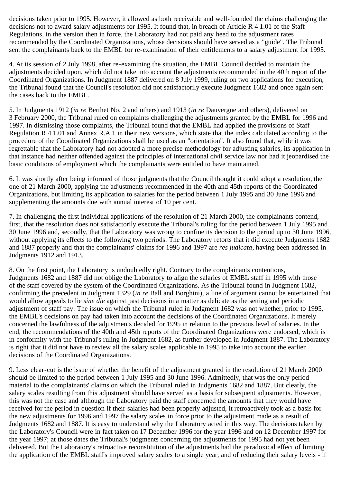decisions taken prior to 1995. However, it allowed as both receivable and well-founded the claims challenging the decisions not to award salary adjustments for 1995. It found that, in breach of Article R 4 1.01 of the Staff Regulations, in the version then in force, the Laboratory had not paid any heed to the adjustment rates recommended by the Coordinated Organizations, whose decisions should have served as a "guide". The Tribunal sent the complainants back to the EMBL for re-examination of their entitlements to a salary adjustment for 1995.

4. At its session of 2 July 1998, after re-examining the situation, the EMBL Council decided to maintain the adjustments decided upon, which did not take into account the adjustments recommended in the 40th report of the Coordinated Organizations. In Judgment 1887 delivered on 8 July 1999, ruling on two applications for execution, the Tribunal found that the Council's resolution did not satisfactorily execute Judgment 1682 and once again sent the cases back to the EMBL.

5. In Judgments 1912 (*in re* Berthet No. 2 and others) and 1913 (*in re* Dauvergne and others), delivered on 3 February 2000, the Tribunal ruled on complaints challenging the adjustments granted by the EMBL for 1996 and 1997. In dismissing those complaints, the Tribunal found that the EMBL had applied the provisions of Staff Regulation R 4 1.01 and Annex R.A.1 in their new versions, which state that the index calculated according to the procedure of the Coordinated Organizations shall be used as an "orientation". It also found that, while it was regrettable that the Laboratory had not adopted a more precise methodology for adjusting salaries, its application in that instance had neither offended against the principles of international civil service law nor had it jeopardised the basic conditions of employment which the complainants were entitled to have maintained.

6. It was shortly after being informed of those judgments that the Council thought it could adopt a resolution, the one of 21 March 2000, applying the adjustments recommended in the 40th and 45th reports of the Coordinated Organizations, but limiting its application to salaries for the period between 1 July 1995 and 30 June 1996 and supplementing the amounts due with annual interest of 10 per cent.

7. In challenging the first individual applications of the resolution of 21 March 2000, the complainants contend, first, that the resolution does not satisfactorily execute the Tribunal's ruling for the period between 1 July 1995 and 30 June 1996 and, secondly, that the Laboratory was wrong to confine its decision to the period up to 30 June 1996, without applying its effects to the following two periods. The Laboratory retorts that it did execute Judgments 1682 and 1887 properly and that the complainants' claims for 1996 and 1997 are *res judicata*, having been addressed in Judgments 1912 and 1913.

8. On the first point, the Laboratory is undoubtedly right. Contrary to the complainants contentions, Judgments 1682 and 1887 did not oblige the Laboratory to align the salaries of EMBL staff in 1995 with those of the staff covered by the system of the Coordinated Organizations. As the Tribunal found in Judgment 1682, confirming the precedent in Judgment 1329 (*in re* Ball and Borghini), a line of argument cannot be entertained that would allow appeals to lie *sine die* against past decisions in a matter as delicate as the setting and periodic adjustment of staff pay. The issue on which the Tribunal ruled in Judgment 1682 was not whether, prior to 1995, the EMBL's decisions on pay had taken into account the decisions of the Coordinated Organizations. It merely concerned the lawfulness of the adjustments decided for 1995 in relation to the previous level of salaries. In the end, the recommendations of the 40th and 45th reports of the Coordinated Organizations were endorsed, which is in conformity with the Tribunal's ruling in Judgment 1682, as further developed in Judgment 1887. The Laboratory is right that it did not have to review all the salary scales applicable in 1995 to take into account the earlier decisions of the Coordinated Organizations.

9. Less clear-cut is the issue of whether the benefit of the adjustment granted in the resolution of 21 March 2000 should be limited to the period between 1 July 1995 and 30 June 1996. Admittedly, that was the only period material to the complainants' claims on which the Tribunal ruled in Judgments 1682 and 1887. But clearly, the salary scales resulting from this adjustment should have served as a basis for subsequent adjustments. However, this was not the case and although the Laboratory paid the staff concerned the amounts that they would have received for the period in question if their salaries had been properly adjusted, it retroactively took as a basis for the new adjustments for 1996 and 1997 the salary scales in force prior to the adjustment made as a result of Judgments 1682 and 1887. It is easy to understand why the Laboratory acted in this way. The decisions taken by the Laboratory's Council were in fact taken on 17 December 1996 for the year 1996 and on 12 December 1997 for the year 1997; at those dates the Tribunal's judgments concerning the adjustments for 1995 had not yet been delivered. But the Laboratory's retroactive reconstitution of the adjustments had the paradoxical effect of limiting the application of the EMBL staff's improved salary scales to a single year, and of reducing their salary levels - if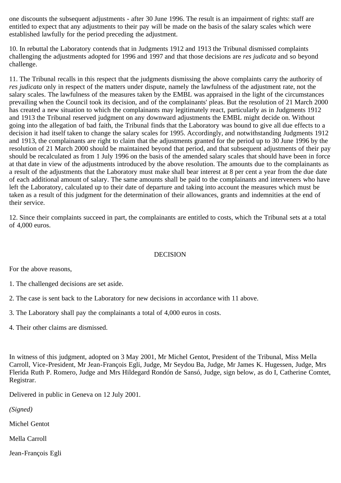one discounts the subsequent adjustments - after 30 June 1996. The result is an impairment of rights: staff are entitled to expect that any adjustments to their pay will be made on the basis of the salary scales which were established lawfully for the period preceding the adjustment.

10. In rebuttal the Laboratory contends that in Judgments 1912 and 1913 the Tribunal dismissed complaints challenging the adjustments adopted for 1996 and 1997 and that those decisions are *res judicata* and so beyond challenge.

11. The Tribunal recalls in this respect that the judgments dismissing the above complaints carry the authority of *res judicata* only in respect of the matters under dispute, namely the lawfulness of the adjustment rate, not the salary scales. The lawfulness of the measures taken by the EMBL was appraised in the light of the circumstances prevailing when the Council took its decision, and of the complainants' pleas. But the resolution of 21 March 2000 has created a new situation to which the complainants may legitimately react, particularly as in Judgments 1912 and 1913 the Tribunal reserved judgment on any downward adjustments the EMBL might decide on. Without going into the allegation of bad faith, the Tribunal finds that the Laboratory was bound to give all due effects to a decision it had itself taken to change the salary scales for 1995. Accordingly, and notwithstanding Judgments 1912 and 1913, the complainants are right to claim that the adjustments granted for the period up to 30 June 1996 by the resolution of 21 March 2000 should be maintained beyond that period, and that subsequent adjustments of their pay should be recalculated as from 1 July 1996 on the basis of the amended salary scales that should have been in force at that date in view of the adjustments introduced by the above resolution. The amounts due to the complainants as a result of the adjustments that the Laboratory must make shall bear interest at 8 per cent a year from the due date of each additional amount of salary. The same amounts shall be paid to the complainants and interveners who have left the Laboratory, calculated up to their date of departure and taking into account the measures which must be taken as a result of this judgment for the determination of their allowances, grants and indemnities at the end of their service.

12. Since their complaints succeed in part, the complainants are entitled to costs, which the Tribunal sets at a total of 4,000 euros.

## DECISION

For the above reasons,

- 1. The challenged decisions are set aside.
- 2. The case is sent back to the Laboratory for new decisions in accordance with 11 above.
- 3. The Laboratory shall pay the complainants a total of 4,000 euros in costs.
- 4. Their other claims are dismissed.

In witness of this judgment, adopted on 3 May 2001, Mr Michel Gentot, President of the Tribunal, Miss Mella Carroll, Vice-President, Mr Jean-François Egli, Judge, Mr Seydou Ba, Judge, Mr James K. Hugessen, Judge, Mrs Flerida Ruth P. Romero, Judge and Mrs Hildegard Rondón de Sansó, Judge, sign below, as do I, Catherine Comtet, Registrar.

Delivered in public in Geneva on 12 July 2001.

*(Signed)*

Michel Gentot

Mella Carroll

Jean-François Egli